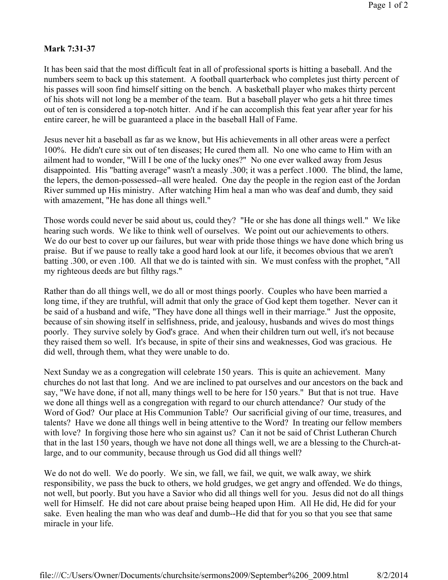## **Mark 7:31-37**

It has been said that the most difficult feat in all of professional sports is hitting a baseball. And the numbers seem to back up this statement. A football quarterback who completes just thirty percent of his passes will soon find himself sitting on the bench. A basketball player who makes thirty percent of his shots will not long be a member of the team. But a baseball player who gets a hit three times out of ten is considered a top-notch hitter. And if he can accomplish this feat year after year for his entire career, he will be guaranteed a place in the baseball Hall of Fame.

Jesus never hit a baseball as far as we know, but His achievements in all other areas were a perfect 100%. He didn't cure six out of ten diseases; He cured them all. No one who came to Him with an ailment had to wonder, "Will I be one of the lucky ones?" No one ever walked away from Jesus disappointed. His "batting average" wasn't a measly .300; it was a perfect .1000. The blind, the lame, the lepers, the demon-possessed--all were healed. One day the people in the region east of the Jordan River summed up His ministry. After watching Him heal a man who was deaf and dumb, they said with amazement, "He has done all things well."

Those words could never be said about us, could they? "He or she has done all things well." We like hearing such words. We like to think well of ourselves. We point out our achievements to others. We do our best to cover up our failures, but wear with pride those things we have done which bring us praise. But if we pause to really take a good hard look at our life, it becomes obvious that we aren't batting .300, or even .100. All that we do is tainted with sin. We must confess with the prophet, "All my righteous deeds are but filthy rags."

Rather than do all things well, we do all or most things poorly. Couples who have been married a long time, if they are truthful, will admit that only the grace of God kept them together. Never can it be said of a husband and wife, "They have done all things well in their marriage." Just the opposite, because of sin showing itself in selfishness, pride, and jealousy, husbands and wives do most things poorly. They survive solely by God's grace. And when their children turn out well, it's not because they raised them so well. It's because, in spite of their sins and weaknesses, God was gracious. He did well, through them, what they were unable to do.

Next Sunday we as a congregation will celebrate 150 years. This is quite an achievement. Many churches do not last that long. And we are inclined to pat ourselves and our ancestors on the back and say, "We have done, if not all, many things well to be here for 150 years." But that is not true. Have we done all things well as a congregation with regard to our church attendance? Our study of the Word of God? Our place at His Communion Table? Our sacrificial giving of our time, treasures, and talents? Have we done all things well in being attentive to the Word? In treating our fellow members with love? In forgiving those here who sin against us? Can it not be said of Christ Lutheran Church that in the last 150 years, though we have not done all things well, we are a blessing to the Church-atlarge, and to our community, because through us God did all things well?

We do not do well. We do poorly. We sin, we fall, we fail, we quit, we walk away, we shirk responsibility, we pass the buck to others, we hold grudges, we get angry and offended. We do things, not well, but poorly. But you have a Savior who did all things well for you. Jesus did not do all things well for Himself. He did not care about praise being heaped upon Him. All He did, He did for your sake. Even healing the man who was deaf and dumb--He did that for you so that you see that same miracle in your life.